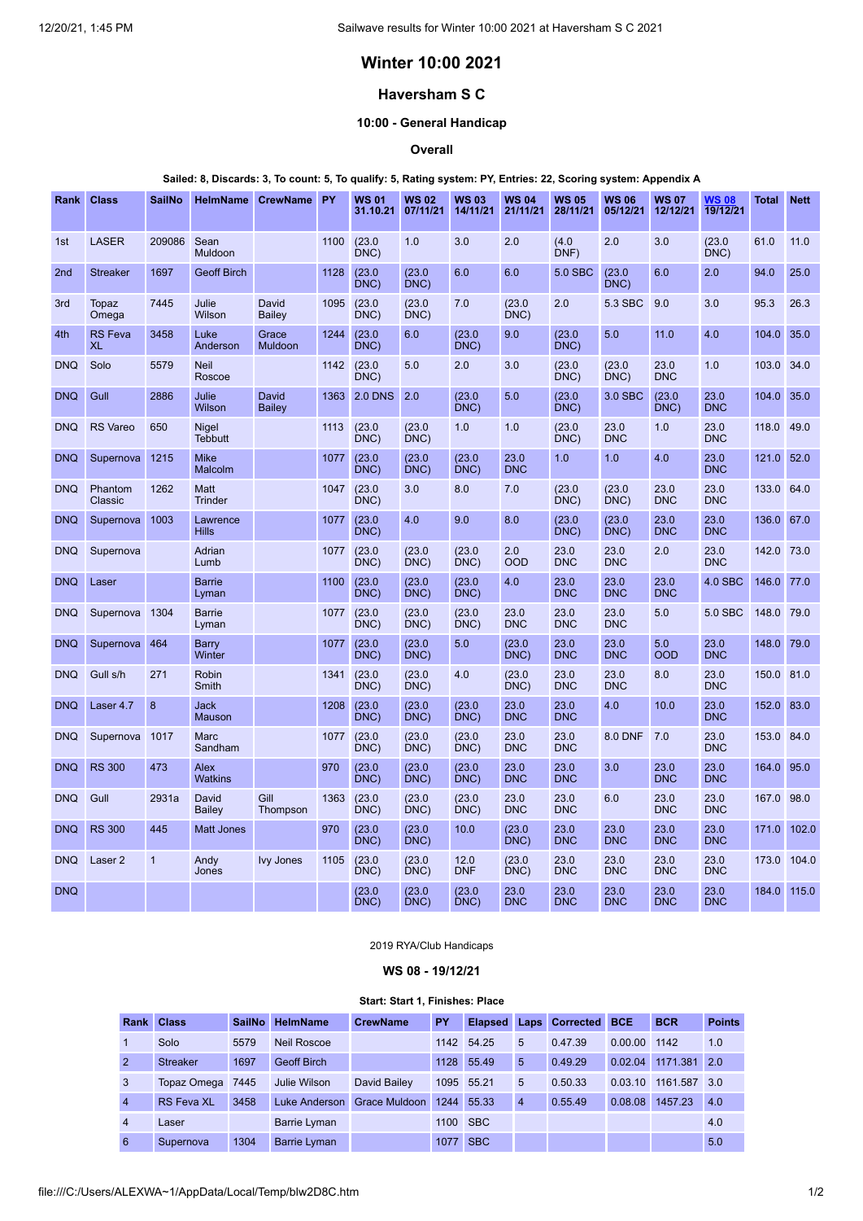# **Winter 10:00 2021**

# **Haversham S C**

## **10:00 - General Handicap**

### **Overall**

#### Sailed: 8, Discards: 3, To count: 5, To qualify: 5, Rating system: PY, Entries: 22, Scoring system: Appendix A

| <b>Rank</b>     | <b>Class</b>                | <b>SailNo</b> | <b>HelmName</b>                | CrewName PY            |      | <b>WS 01</b><br>31.10.21 | <b>WS 02</b><br>07/11/21 | <b>WS03</b><br>14/11/21 | <b>WS 04</b><br>21/11/21 | <b>WS 05</b><br>28/11/21 | <b>WS 06</b><br>05/12/21 | <b>WS 07</b><br>12/12/21 | WS 08<br>19/12/21  | Total      | <b>Nett</b> |
|-----------------|-----------------------------|---------------|--------------------------------|------------------------|------|--------------------------|--------------------------|-------------------------|--------------------------|--------------------------|--------------------------|--------------------------|--------------------|------------|-------------|
| 1st             | <b>LASER</b>                | 209086        | Sean<br>Muldoon                |                        | 1100 | (23.0)<br>DNC)           | 1.0                      | 3.0                     | 2.0                      | (4.0)<br>DNF)            | 2.0                      | 3.0                      | (23.0)<br>DNC)     | 61.0       | 11.0        |
| 2 <sub>nd</sub> | <b>Streaker</b>             | 1697          | <b>Geoff Birch</b>             |                        | 1128 | (23.0)<br>DNC)           | (23.0)<br>DNC)           | 6.0                     | 6.0                      | 5.0 SBC                  | (23.0)<br>DNC)           | 6.0                      | 2.0                | 94.0       | 25.0        |
| 3rd             | <b>Topaz</b><br>Omega       | 7445          | Julie<br>Wilson                | David<br><b>Bailey</b> | 1095 | (23.0)<br>DNC            | (23.0)<br>DNC            | 7.0                     | (23.0)<br>DNC            | 2.0                      | 5.3 SBC                  | 9.0                      | 3.0                | 95.3       | 26.3        |
| 4th             | <b>RS</b> Feva<br><b>XL</b> | 3458          | Luke<br>Anderson               | Grace<br>Muldoon       | 1244 | (23.0)<br>DNC)           | 6.0                      | (23.0)<br>DNC)          | 9.0                      | (23.0)<br>DNC)           | 5.0                      | 11.0                     | 4.0                | 104.0      | 35.0        |
| <b>DNQ</b>      | Solo                        | 5579          | <b>Neil</b><br>Roscoe          |                        | 1142 | (23.0)<br>DNC)           | 5.0                      | 2.0                     | 3.0                      | (23.0)<br>DNC)           | (23.0)<br>DNC)           | 23.0<br><b>DNC</b>       | 1.0                | 103.0      | 34.0        |
| <b>DNQ</b>      | Gull                        | 2886          | Julie<br>Wilson                | David<br>Bailey        | 1363 | <b>2.0 DNS</b>           | 2.0                      | (23.0)<br>DNC)          | 5.0                      | (23.0)<br>DNC)           | 3.0 SBC                  | (23.0)<br>DNC)           | 23.0<br><b>DNC</b> | 104.0      | 35.0        |
| <b>DNQ</b>      | <b>RS Vareo</b>             | 650           | <b>Nigel</b><br><b>Tebbutt</b> |                        | 1113 | (23.0)<br>DNC)           | (23.0)<br>DNC            | 1.0                     | 1.0                      | (23.0)<br>DNC)           | 23.0<br><b>DNC</b>       | 1.0                      | 23.0<br><b>DNC</b> | 118.0      | 49.0        |
| <b>DNQ</b>      | Supernova                   | 1215          | <b>Mike</b><br>Malcolm         |                        | 1077 | (23.0)<br>DNC)           | (23.0)<br>DNC            | (23.0)<br>DNC           | 23.0<br><b>DNC</b>       | 1.0                      | 1.0                      | 4.0                      | 23.0<br><b>DNC</b> | 121.0      | 52.0        |
| <b>DNO</b>      | Phantom<br>Classic          | 1262          | Matt<br><b>Trinder</b>         |                        | 1047 | (23.0)<br>DNC)           | 3.0                      | 8.0                     | 7.0                      | (23.0)<br>DNC)           | (23.0)<br>DNC)           | 23.0<br><b>DNC</b>       | 23.0<br><b>DNC</b> | 133.0      | 64.0        |
| <b>DNQ</b>      | Supernova                   | 1003          | Lawrence<br><b>Hills</b>       |                        | 1077 | (23.0)<br>DNC)           | 4.0                      | 9.0                     | 8.0                      | (23.0)<br>DNC)           | (23.0)<br>DNC)           | 23.0<br><b>DNC</b>       | 23.0<br><b>DNC</b> | 136.0      | 67.0        |
| <b>DNQ</b>      | Supernova                   |               | Adrian<br>Lumb                 |                        | 1077 | (23.0)<br>DNC)           | (23.0)<br>DNC)           | (23.0)<br>DNC)          | 2.0<br><b>OOD</b>        | 23.0<br><b>DNC</b>       | 23.0<br><b>DNC</b>       | 2.0                      | 23.0<br><b>DNC</b> | 142.0 73.0 |             |
| <b>DNQ</b>      | Laser                       |               | <b>Barrie</b><br>Lyman         |                        | 1100 | (23.0)<br>DNC)           | (23.0)<br>DNC)           | (23.0)<br>DNC)          | 4.0                      | 23.0<br><b>DNC</b>       | 23.0<br><b>DNC</b>       | 23.0<br><b>DNC</b>       | 4.0 SBC            | 146.0      | 77.0        |
| <b>DNQ</b>      | Supernova 1304              |               | <b>Barrie</b><br>Lyman         |                        | 1077 | (23.0)<br>DNC)           | (23.0)<br>DNC)           | (23.0)<br>DNC)          | 23.0<br><b>DNC</b>       | 23.0<br><b>DNC</b>       | 23.0<br><b>DNC</b>       | 5.0                      | 5.0 SBC            | 148.0      | 79.0        |
| <b>DNQ</b>      | Supernova                   | 464           | Barry<br>Winter                |                        | 1077 | (23.0)<br>DNC)           | (23.0)<br>DNC)           | 5.0                     | (23.0)<br>DNC)           | 23.0<br><b>DNC</b>       | 23.0<br><b>DNC</b>       | 5.0<br><b>OOD</b>        | 23.0<br><b>DNC</b> | 148.0      | 79.0        |
| <b>DNQ</b>      | Gull s/h                    | 271           | Robin<br>Smith                 |                        | 1341 | (23.0)<br>$DNC$ )        | (23.0)<br>DNC            | 4.0                     | (23.0)<br>DNC)           | 23.0<br><b>DNC</b>       | 23.0<br><b>DNC</b>       | 8.0                      | 23.0<br><b>DNC</b> | 150.0      | 81.0        |
| <b>DNQ</b>      | Laser 4.7                   | 8             | <b>Jack</b><br><b>Mauson</b>   |                        | 1208 | (23.0)<br>DNC)           | (23.0)<br>DNC)           | (23.0)<br>DNC)          | 23.0<br><b>DNC</b>       | 23.0<br><b>DNC</b>       | 4.0                      | 10.0                     | 23.0<br><b>DNC</b> | 152.0      | 83.0        |
| <b>DNQ</b>      | Supernova 1017              |               | <b>Marc</b><br>Sandham         |                        | 1077 | (23.0)<br>DNC            | (23.0)<br>DNC            | (23.0)<br>DNC           | 23.0<br><b>DNC</b>       | 23.0<br><b>DNC</b>       | <b>8.0 DNF</b>           | 7.0                      | 23.0<br><b>DNC</b> | 153.0      | 84.0        |
| <b>DNQ</b>      | <b>RS 300</b>               | 473           | Alex<br><b>Watkins</b>         |                        | 970  | (23.0)<br>DNC)           | (23.0)<br>DNC)           | (23.0)<br>DNC)          | 23.0<br><b>DNC</b>       | 23.0<br><b>DNC</b>       | 3.0                      | 23.0<br><b>DNC</b>       | 23.0<br><b>DNC</b> | 164.0      | 95.0        |
| <b>DNQ</b>      | Gull                        | 2931a         | David<br>Bailey                | Gill<br>Thompson       | 1363 | (23.0)<br>DNC)           | (23.0)<br>DNC)           | (23.0)<br>DNC)          | 23.0<br><b>DNC</b>       | 23.0<br><b>DNC</b>       | 6.0                      | 23.0<br><b>DNC</b>       | 23.0<br><b>DNC</b> | 167.0      | 98.0        |
| <b>DNQ</b>      | <b>RS 300</b>               | 445           | <b>Matt Jones</b>              |                        | 970  | (23.0)<br>DNC)           | (23.0)<br>DNC)           | 10.0                    | (23.0)<br>DNC)           | 23.0<br><b>DNC</b>       | 23.0<br><b>DNC</b>       | 23.0<br><b>DNC</b>       | 23.0<br><b>DNC</b> | 171.0      | 102.0       |
| <b>DNQ</b>      | Laser 2                     | $\mathbf{1}$  | Andy<br>Jones                  | <b>Ivy Jones</b>       | 1105 | (23.0)<br>DNC)           | (23.0)<br>DNC)           | 12.0<br><b>DNF</b>      | (23.0)<br>DNC            | 23.0<br><b>DNC</b>       | 23.0<br><b>DNC</b>       | 23.0<br><b>DNC</b>       | 23.0<br><b>DNC</b> | 173.0      | 104.0       |
| <b>DNQ</b>      |                             |               |                                |                        |      | (23.0)<br>DNC)           | (23.0)<br>DNC)           | (23.0)<br>DNC)          | 23.0<br><b>DNC</b>       | 23.0<br><b>DNC</b>       | 23.0<br><b>DNC</b>       | 23.0<br><b>DNC</b>       | 23.0<br><b>DNC</b> | 184.0      | 115.0       |

#### 2019 RYA/Club Handicaps

**WS 08 - 19/12/21**

#### **Start: Start 1, Finishes: Place**

<span id="page-0-0"></span>

| <b>Rank</b>    | <b>Class</b>      | <b>SailNo</b> | <b>HelmName</b>     | <b>CrewName</b> | PY   | <b>Elapsed</b> |                | <b>Laps Corrected BCE</b> |         | <b>BCR</b>   | <b>Points</b> |
|----------------|-------------------|---------------|---------------------|-----------------|------|----------------|----------------|---------------------------|---------|--------------|---------------|
|                | Solo              | 5579          | Neil Roscoe         |                 | 1142 | 54.25          | 5              | 0.47.39                   | 0.00.00 | 1142         | 1.0           |
| $\overline{2}$ | <b>Streaker</b>   | 1697          | <b>Geoff Birch</b>  |                 | 1128 | 55.49          | 5              | 0.49.29                   | 0.02.04 | 1171.381     | 2.0           |
| 3              | Topaz Omega 7445  |               | Julie Wilson        | David Bailev    |      | 1095 55.21     | 5              | 0.50.33                   | 0.03.10 | 1161.587 3.0 |               |
| $\overline{4}$ | <b>RS Feva XL</b> | 3458          | Luke Anderson       | Grace Muldoon   | 1244 | 55.33          | $\overline{4}$ | 0.55.49                   | 0.08.08 | 1457.23      | 4.0           |
| $\overline{4}$ | Laser             |               | <b>Barrie Lyman</b> |                 |      | 1100 SBC       |                |                           |         |              | 4.0           |
| 6              | Supernova         | 1304          | <b>Barrie Lyman</b> |                 |      | 1077 SBC       |                |                           |         |              | 5.0           |